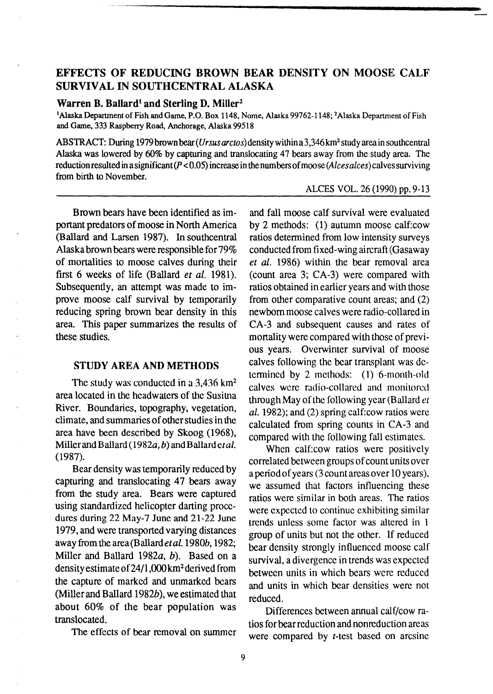# **EFFECTS OF REDUCING BROWN BEAR DENSITY ON MOOSE CALF SURVIVAL IN SOUTHCENTRAL ALASKA**

#### Warren B. Ballard<sup>1</sup> and Sterling D. Miller<sup>2</sup>

<sup>1</sup>Alaska Department of Fish and Game, P.O. Box 1148, Nome, Alaska 99762-1148; <sup>2</sup>Alaska Department of Fish and Game, 333 Raspberry Road, Anchorage, Alaska 99518

ABSTRACT: During 1979 brown bear (Ursus arctos) density within a 3,346 km<sup>2</sup> study area in southcentral Alaska was lowered by 60% by capturing and translocating 47 bears away from the study area. The reduction resulted in a significant  $(P < 0.05)$  increase in the numbers of moose (Alces alces) calves surviving from birth to November.

ALCES VOL. 26 (1990) pp. 9-13

Brown bears have been identified as important predators of moose in North America (Ballard and Larsen 1987). In southcentral Alaska brown bears were responsible for 79% of mortalities to moose calves during their first 6 weeks of life (Ballard *et al.* 1981). Subsequently, an attempt was made to improve moose calf survival by temporarily reducing spring brown bear density in this area. This paper summarizes the results of these studies.

### **STUDY AREA AND METHODS**

The study was conducted in a 3,436 km<sup>2</sup> area located in the headwaters of the Susitna River. Boundaries, topography, vegetation, climate, and summaries of other studies in the area have been described by Skoog (1968), Miller and Ballard (1982 $a$ , b) and Ballard et al. (1987).

Bear density was temporarily reduced by capturing and translocating 47 bears away from the study area. Bears were captured using standardized helicopter darting procedures during 22 May-7 June and 21-22 June 1979, and were transported varying distances away from the area (Ballard et al. 1980b, 1982; Miller and Ballard 1982a, b). Based on a density estimate of24/l ,000 km2 derived from the capture of marked and unmarked bears (Miller and Ballard 1982 $b$ ), we estimated that about 60% of the bear population was translocated.

The effects of bear removal on summer

and fall moose calf survival were evaluated by 2 methods: (1) autumn moose calf:cow ratios determined from low intensity surveys conducted from fixed-wing aircraft (Gasaway *et al.* 1986) within the bear removal area (count area 3; CA-3) were compared with ratios obtained in earlier years and with those from other comparative count areas; and (2) newborn moose calves were radio-collared in CA-3 and subsequent causes and rates of mortality were compared with those of previous years. Overwinter survival of moose calves following the bear transplant was determined by 2 methods:  $(1)$  6-month-old calves were radio-collared and monitored through May of the following year (Ballard *et al.* 1982); and (2) spring calf:cow ratios were calculated from spring counts in CA-3 and compared with the following fall estimates.

When calf:cow ratios were positively correlated between groups of count units over a period of years (3 count areas over 10 years), we assumed that factors influencing these ratios were similar in both areas. The ratios were expected to continue exhibiting similar trends unless some factor was altered in 1 group of units but not the other. If reduced bear density strongly influenced moose calf survival, a divergence in trends was expected between units in which bears were reduced and units in which bear densities were not reduced.

Differences between annual calf/cow ratios for bear reduction and nonreduction areas were compared by *t*-test based on arcsine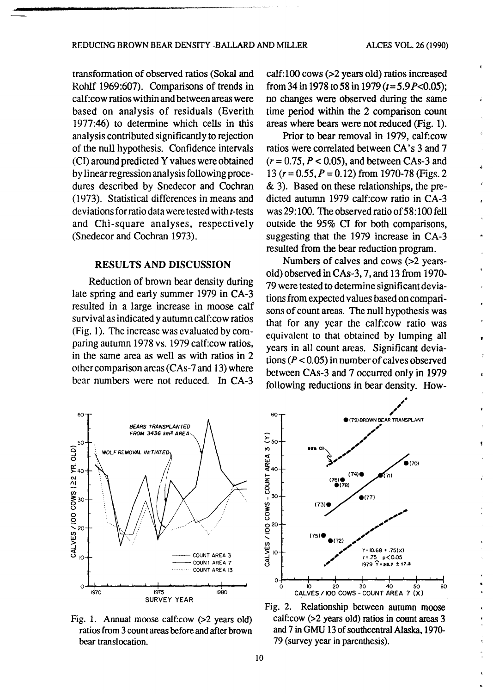$\lambda$ 

transformation of observed ratios (Sokal and Rohlf 1969:607). Comparisons of trends in calf:cow ratios within and between areas were based on analysis of residuals (Everith 1977:46) to determine which cells in this analysis contributed significantly to rejection of the null hypothesis. Confidence intervals (CI) around predicted Yvalues were obtained by linear regression analysis following procedures described by Snedecor and Cochran (1973). Statistical differences in means and deviations for ratio data were tested with t-tests and Chi-square analyses, respectively (Snedecor and Cochran 1973).

## RESULTS AND DISCUSSION

Reduction of brown bear density during late spring and early summer 1979 in CA-3 resulted in a large increase in moose calf survival as indicated y autumn calf: cow ratios (Fig. 1). The increase was evaluated by comparing autumn 1978 vs. 1979 calf:cow ratios, in the same area as well as with ratios in 2 other comparison areas (CAs-7 and 13) where bear numbers were not reduced. In CA-3 calf:100 cows (>2 years old) ratios increased from 34 in 1978 to 58 in 1979 *(t=* 5.9 P<0.05); no changes were observed during the same time period within the 2 comparison count areas where bears were not reduced (Fig. 1).

Prior to bear removal in 1979, calf:cow ratios were correlated between CA's 3 and 7  $(r = 0.75, P < 0.05)$ , and between CAs-3 and 13 (r = 0.55, *P* = 0.12) from 1970-78 (Figs. 2 & 3). Based on these relationships, the predicted autumn 1979 calf:cow ratio in CA-3 was 29:100. The observed ratio of 58:100 fell outside the 95% CI for both comparisons, suggesting that the 1979 increase in CA-3 resulted from the bear reduction program.

Numbers of calves and cows (>2 yearsold) observed in CAs-3, 7, and 13 from 1970- 79 were tested to detennine significant deviations from expected values based on comparisons of count areas. The null hypothesis was that for any year the calf:cow ratio was equivalent to that obtained by lumping all years in all count areas. Significant deviations ( $P < 0.05$ ) in number of calves observed between CAs-3 and 7 occurred only in 1979 following reductions in bear density. How-



Fig. 1. Annual moose calf:cow (>2 years old) ratios from 3 count areas before and after brown bear translocation.



Fig. 2. Relationship between autumn moose calf:cow (>2 years old) ratios in count areas 3 and 7 in GMU 13 of southcentral Alaska, 1970- 79 (survey year in parenthesis).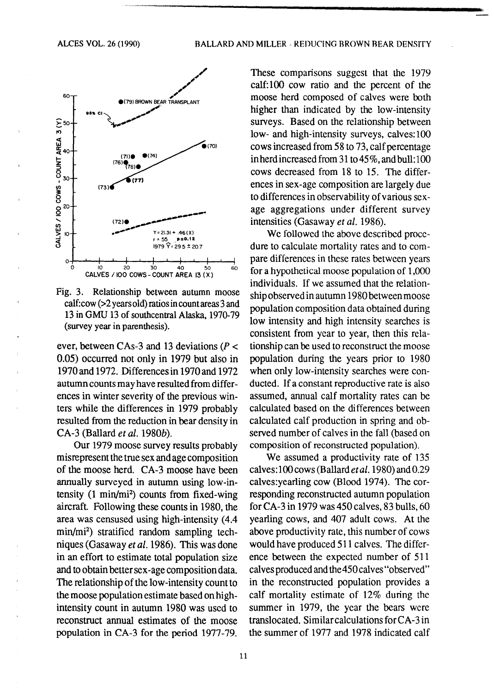

Fig. 3. Relationship between autumn moose calf:cow (>2 years old) ratios in count areas 3 and 13 in GMU 13 of southcentral Alaska, 1970-79 (survey year in parenthesis).

ever, between CAs-3 and 13 deviations ( $P <$ 0.05) occurred not only in 1979 but also in 1970 and 1972. Differences in 1970 and 1972 autumn counts may have resulted from differences in winter severity of the previous winters while the differences in 1979 probably resulted from the reduction in bear density in CA-3 (Ballard et al. 1980b).

Our 1979 moose survey results probably misrepresent the true sex and age composition of the moose herd. CA-3 moose have been annually surveyed in autumn using low-intensity  $(1 \text{ min/mi}^2)$  counts from fixed-wing aircraft. Following these counts in 1980, the area was censused using high-intensity (4.4) min/mi<sup>2</sup>) stratified random sampling techniques (Gasaway et al. 1986). This was done in an effort to estimate total population size and to obtain better sex-age composition data. The relationship of the low-intensity count to the moose population estimate based on highintensity count in autumn 1980 was used to reconstruct annual estimates of the moose population in CA-3 for the period 1977-79.

These comparisons suggest that the 1979 calf:100 cow ratio and the percent of the moose herd composed of calves were both higher than indicated by the low-intensity surveys. Based on the relationship between low- and high-intensity surveys, calves:100 cows increased from 58 to 73, calf percentage in herd increased from 31 to 45%, and bull:100 cows decreased from 18 to 15. The differences in sex-age composition are largely due to differences in observability of various sexage aggregations under different survey intensities (Gasaway et al. 1986).

We followed the above described procedure to calculate mortality rates and to compare differences in these rates between years for a hypothetical moose population of 1,000 individuals. If we assumed that the relationship observed in autumn 1980 between moose population composition data obtained during low intensity and high intensity searches is consistent from year to year, then this relationship can be used to reconstruct the moose population during the years prior to 1980 when only low-intensity searches were conducted. If a constant reproductive rate is also assumed, annual calf mortality rates can be calculated based on the differences between calculated calf production in spring and observed number of calves in the fall (based on composition of reconstructed population).

We assumed a productivity rate of 135 calves:100 cows (Ballard et al. 1980) and 0.29 calves:yearling cow (Blood 1974). The corresponding reconstructed autumn population for CA-3 in 1979 was 450 calves, 83 bulls, 60 yearling cows, and 407 adult cows. At the above productivity rate, this number of cows would have produced 511 calves. The difference between the expected number of 511 calves produced and the 450 calves "observed" in the reconstructed population provides a calf mortality estimate of 12% during the summer in 1979, the year the bears were translocated. Similar calculations for CA-3 in the summer of 1977 and 1978 indicated calf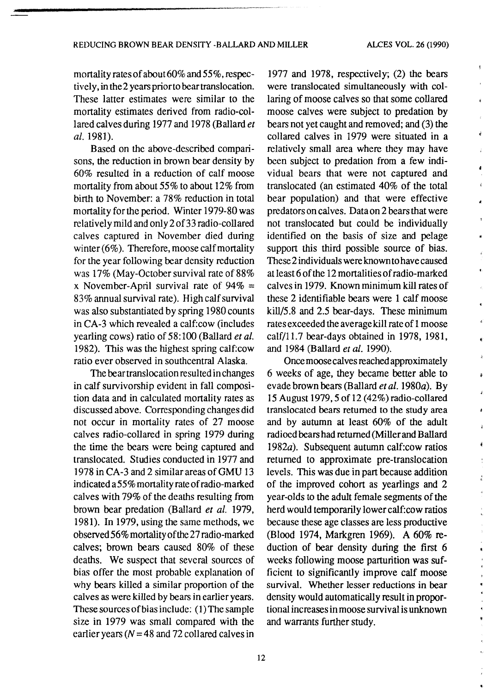Ŋ.

è

ł.

ž É

 $\frac{\epsilon}{\epsilon}$ 

 $\pmb{\epsilon}$ 

mortality rates of about 60% and 55%, respectively, in the 2 years prior to bear translocation. These latter estimates were similar to the mortality estimates derived from radio-collared calves during 1977 and 1978 (Ballard *et a/.* 1981).

Based on the above-described comparisons, the reduction in brown bear density by 60% resulted in a reduction of calf moose mortality from about 55% to about 12% from birth to November: a 78% reduction in total mortality for the period. Winter 1979-80 was relatively mild and only 2 of 33 radio-collared calves captured in November died during winter (6%). Therefore, moose calf mortality for the year following bear density reduction was  $17\%$  (May-October survival rate of  $88\%$ x November-April survival rate of  $94\%$  = 83% annual survival rate). High calf survival was also substantiated by spring 1980 counts in CA-3 which revealed a calf:cow (includes yearling cows) ratio of 58:100 (Ballard *eta/.*  1982). This was the highest spring calf:cow ratio ever observed in southcentral Alaska.

The bear translocation resulted in changes in calf survivorship evident in fall composition data and in calculated mortality rates as discussed above. Corresponding changes did not occur in mortality rates of 27 moose calves radio-collared in spring 1979 during the time the bears were being captured and translocated. Studies conducted in 1977 and 1978 in CA-3 and 2 similar areas of GMU 13 indicated a 55% mortality rate of radio-marked calves with 79% of the deaths resulting from brown bear predation (Ballard *et a/.* 1979, 1981). In 1979, using the same methods, we observed 56% mortality of the 27 radio-marked calves; brown bears caused 80% of these deaths. We suspect that several sources of bias offer the most probable explanation of why bears killed a similar proportion of the calves as were killed by bears in earlier years. These sources of bias include: (I) The sample size in 1979 was small compared with the earlier years ( $N = 48$  and 72 collared calves in

1977 and 1978, respectively; (2) the bears were translocated simultaneously with collaring of moose calves so that some collared moose calves were subject to predation by bears not yet caught and removed; and (3) the collared calves in 1979 were situated in a relatively small area where they may have been subject to predation from a few individual bears that were not captured and translocated (an estimated 40% of the total bear population) and that were effective predators on calves. Data on 2 bears that were not translocated but could be individually identified on the basis of size and pelage support this third possible source of bias. These 2 individuals were known to have caused at least 6 of the 12 mortalities of radio-marked calves in 1979. Known minimum kill rates of these 2 identifiable bears were 1 calf moose kill/5 .8 and 2.5 bear-days. These minimum rates exceeded the average kill rate of 1 moose calf/11.7 bear-days obtained in 1978, 1981, and 1984 (Ballard *et al.* 1990).

Once moose calves reached approximately 6 weeks of age, they became better able to evade brown bears (Ballard et al. 1980a). By 15 August 1979,5 of 12 (42%) radio-collared translocated bears returned to the study area and by autumn at least 60% of the adult radioed bears had returned (Miller and Ballard 1982a). Subsequent autumn calf:cow ratios returned to approximate pre-translocation levels. This was due in part because addition of the improved cohort as yearlings and 2 year-olds to the adult female segments of the herd would temporarily lower calf: cow ratios because these age classes are less productive (Blood 1974, Markgren 1969). A 60% reduction of bear density during the first 6 weeks following moose parturition was sufficient to significantly improve calf moose survival. Whether lesser reductions in bear density would automatically result in proportional increases in moose survival is unknown and warrants further study.

12